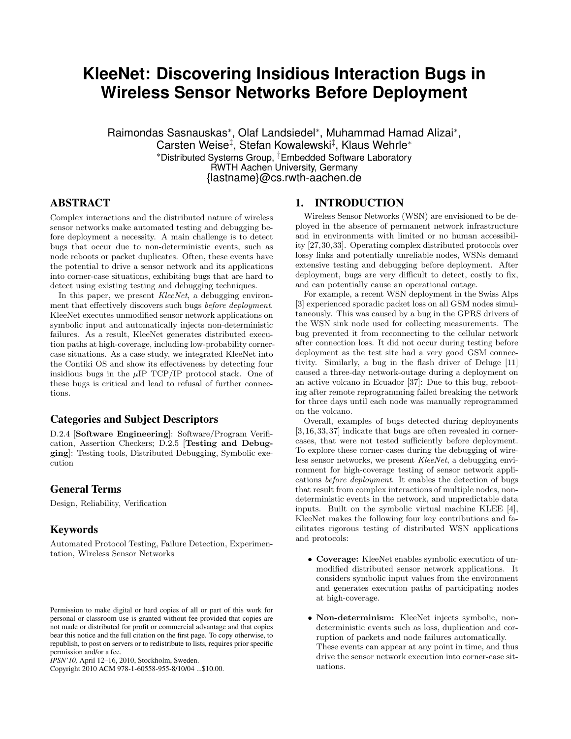# **KleeNet: Discovering Insidious Interaction Bugs in Wireless Sensor Networks Before Deployment**

Raimondas Sasnauskas\*, Olaf Landsiedel\*, Muhammad Hamad Alizai\*, Carsten Weise‡ , Stefan Kowalewski‡ , Klaus Wehrle<sup>∗</sup> <sup>∗</sup>Distributed Systems Group, ‡Embedded Software Laboratory RWTH Aachen University, Germany {lastname}@cs.rwth-aachen.de

## ABSTRACT

Complex interactions and the distributed nature of wireless sensor networks make automated testing and debugging before deployment a necessity. A main challenge is to detect bugs that occur due to non-deterministic events, such as node reboots or packet duplicates. Often, these events have the potential to drive a sensor network and its applications into corner-case situations, exhibiting bugs that are hard to detect using existing testing and debugging techniques.

In this paper, we present *KleeNet*, a debugging environment that effectively discovers such bugs before deployment. KleeNet executes unmodified sensor network applications on symbolic input and automatically injects non-deterministic failures. As a result, KleeNet generates distributed execution paths at high-coverage, including low-probability cornercase situations. As a case study, we integrated KleeNet into the Contiki OS and show its effectiveness by detecting four insidious bugs in the  $\mu$ IP TCP/IP protocol stack. One of these bugs is critical and lead to refusal of further connections.

# Categories and Subject Descriptors

D.2.4 [Software Engineering]: Software/Program Verification, Assertion Checkers; D.2.5 [Testing and Debugging]: Testing tools, Distributed Debugging, Symbolic execution

# General Terms

Design, Reliability, Verification

## Keywords

Automated Protocol Testing, Failure Detection, Experimentation, Wireless Sensor Networks

Copyright 2010 ACM 978-1-60558-955-8/10/04 ...\$10.00.

## 1. INTRODUCTION

Wireless Sensor Networks (WSN) are envisioned to be deployed in the absence of permanent network infrastructure and in environments with limited or no human accessibility [27,30,33]. Operating complex distributed protocols over lossy links and potentially unreliable nodes, WSNs demand extensive testing and debugging before deployment. After deployment, bugs are very difficult to detect, costly to fix, and can potentially cause an operational outage.

For example, a recent WSN deployment in the Swiss Alps [3] experienced sporadic packet loss on all GSM nodes simultaneously. This was caused by a bug in the GPRS drivers of the WSN sink node used for collecting measurements. The bug prevented it from reconnecting to the cellular network after connection loss. It did not occur during testing before deployment as the test site had a very good GSM connectivity. Similarly, a bug in the flash driver of Deluge [11] caused a three-day network-outage during a deployment on an active volcano in Ecuador [37]: Due to this bug, rebooting after remote reprogramming failed breaking the network for three days until each node was manually reprogrammed on the volcano.

Overall, examples of bugs detected during deployments [3, 16, 33, 37] indicate that bugs are often revealed in cornercases, that were not tested sufficiently before deployment. To explore these corner-cases during the debugging of wireless sensor networks, we present KleeNet, a debugging environment for high-coverage testing of sensor network applications before deployment. It enables the detection of bugs that result from complex interactions of multiple nodes, nondeterministic events in the network, and unpredictable data inputs. Built on the symbolic virtual machine KLEE [4], KleeNet makes the following four key contributions and facilitates rigorous testing of distributed WSN applications and protocols:

- Coverage: KleeNet enables symbolic execution of unmodified distributed sensor network applications. It considers symbolic input values from the environment and generates execution paths of participating nodes at high-coverage.
- Non-determinism: KleeNet injects symbolic, nondeterministic events such as loss, duplication and corruption of packets and node failures automatically. These events can appear at any point in time, and thus drive the sensor network execution into corner-case situations.

Permission to make digital or hard copies of all or part of this work for personal or classroom use is granted without fee provided that copies are not made or distributed for profit or commercial advantage and that copies bear this notice and the full citation on the first page. To copy otherwise, to republish, to post on servers or to redistribute to lists, requires prior specific permission and/or a fee.

*IPSN'10,* April 12–16, 2010, Stockholm, Sweden.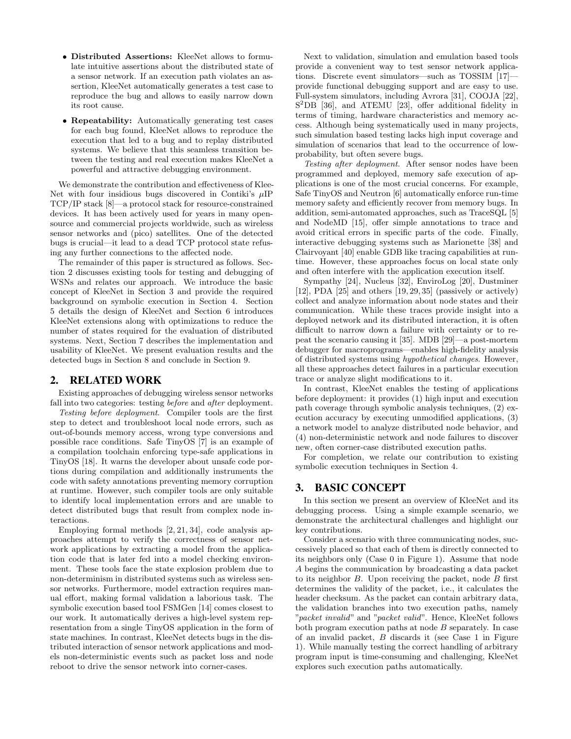- Distributed Assertions: KleeNet allows to formulate intuitive assertions about the distributed state of a sensor network. If an execution path violates an assertion, KleeNet automatically generates a test case to reproduce the bug and allows to easily narrow down its root cause.
- Repeatability: Automatically generating test cases for each bug found, KleeNet allows to reproduce the execution that led to a bug and to replay distributed systems. We believe that this seamless transition between the testing and real execution makes KleeNet a powerful and attractive debugging environment.

We demonstrate the contribution and effectiveness of Klee-Net with four insidious bugs discovered in Contiki's  $\mu$ IP TCP/IP stack [8]—a protocol stack for resource-constrained devices. It has been actively used for years in many opensource and commercial projects worldwide, such as wireless sensor networks and (pico) satellites. One of the detected bugs is crucial—it lead to a dead TCP protocol state refusing any further connections to the affected node.

The remainder of this paper is structured as follows. Section 2 discusses existing tools for testing and debugging of WSNs and relates our approach. We introduce the basic concept of KleeNet in Section 3 and provide the required background on symbolic execution in Section 4. Section 5 details the design of KleeNet and Section 6 introduces KleeNet extensions along with optimizations to reduce the number of states required for the evaluation of distributed systems. Next, Section 7 describes the implementation and usability of KleeNet. We present evaluation results and the detected bugs in Section 8 and conclude in Section 9.

# 2. RELATED WORK

Existing approaches of debugging wireless sensor networks fall into two categories: testing *before* and *after* deployment.

Testing before deployment. Compiler tools are the first step to detect and troubleshoot local node errors, such as out-of-bounds memory access, wrong type conversions and possible race conditions. Safe TinyOS [7] is an example of a compilation toolchain enforcing type-safe applications in TinyOS [18]. It warns the developer about unsafe code portions during compilation and additionally instruments the code with safety annotations preventing memory corruption at runtime. However, such compiler tools are only suitable to identify local implementation errors and are unable to detect distributed bugs that result from complex node interactions.

Employing formal methods [2, 21, 34], code analysis approaches attempt to verify the correctness of sensor network applications by extracting a model from the application code that is later fed into a model checking environment. These tools face the state explosion problem due to non-determinism in distributed systems such as wireless sensor networks. Furthermore, model extraction requires manual effort, making formal validation a laborious task. The symbolic execution based tool FSMGen [14] comes closest to our work. It automatically derives a high-level system representation from a single TinyOS application in the form of state machines. In contrast, KleeNet detects bugs in the distributed interaction of sensor network applications and models non-deterministic events such as packet loss and node reboot to drive the sensor network into corner-cases.

Next to validation, simulation and emulation based tools provide a convenient way to test sensor network applications. Discrete event simulators—such as TOSSIM [17] provide functional debugging support and are easy to use. Full-system simulators, including Avrora [31], COOJA [22], S <sup>2</sup>DB [36], and ATEMU [23], offer additional fidelity in terms of timing, hardware characteristics and memory access. Although being systematically used in many projects, such simulation based testing lacks high input coverage and simulation of scenarios that lead to the occurrence of lowprobability, but often severe bugs.

Testing after deployment. After sensor nodes have been programmed and deployed, memory safe execution of applications is one of the most crucial concerns. For example, Safe TinyOS and Neutron [6] automatically enforce run-time memory safety and efficiently recover from memory bugs. In addition, semi-automated approaches, such as TraceSQL [5] and NodeMD [15], offer simple annotations to trace and avoid critical errors in specific parts of the code. Finally, interactive debugging systems such as Marionette [38] and Clairvoyant [40] enable GDB like tracing capabilities at runtime. However, these approaches focus on local state only and often interfere with the application execution itself.

Sympathy [24], Nucleus [32], EnviroLog [20], Dustminer  $[12]$ , PDA  $[25]$  and others  $[19, 29, 35]$  (passively or actively) collect and analyze information about node states and their communication. While these traces provide insight into a deployed network and its distributed interaction, it is often difficult to narrow down a failure with certainty or to repeat the scenario causing it [35]. MDB [29]—a post-mortem debugger for macroprograms—enables high-fidelity analysis of distributed systems using hypothetical changes. However, all these approaches detect failures in a particular execution trace or analyze slight modifications to it.

In contrast, KleeNet enables the testing of applications before deployment: it provides (1) high input and execution path coverage through symbolic analysis techniques, (2) execution accuracy by executing unmodified applications, (3) a network model to analyze distributed node behavior, and (4) non-deterministic network and node failures to discover new, often corner-case distributed execution paths.

For completion, we relate our contribution to existing symbolic execution techniques in Section 4.

# 3. BASIC CONCEPT

In this section we present an overview of KleeNet and its debugging process. Using a simple example scenario, we demonstrate the architectural challenges and highlight our key contributions.

Consider a scenario with three communicating nodes, successively placed so that each of them is directly connected to its neighbors only (Case 0 in Figure 1). Assume that node A begins the communication by broadcasting a data packet to its neighbor  $B$ . Upon receiving the packet, node  $B$  first determines the validity of the packet, i.e., it calculates the header checksum. As the packet can contain arbitrary data, the validation branches into two execution paths, namely "packet invalid" and "packet valid". Hence, KleeNet follows both program execution paths at node B separately. In case of an invalid packet, B discards it (see Case 1 in Figure 1). While manually testing the correct handling of arbitrary program input is time-consuming and challenging, KleeNet explores such execution paths automatically.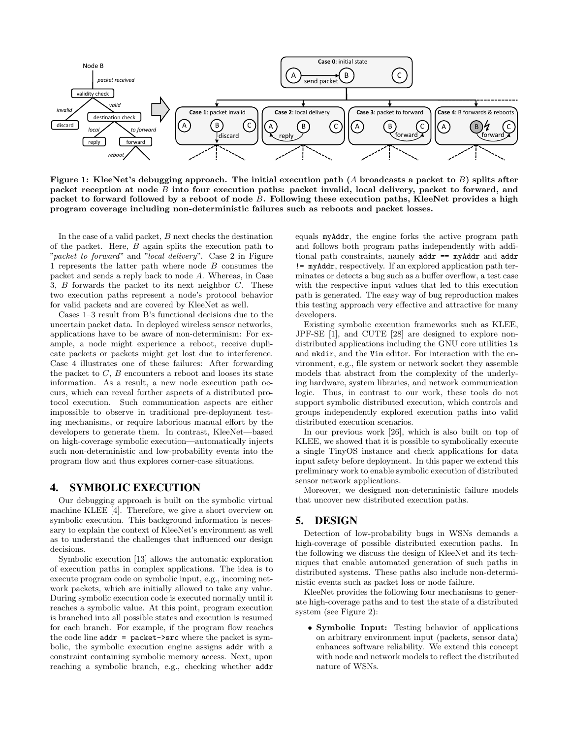

Figure 1: KleeNet's debugging approach. The initial execution path (A broadcasts a packet to B) splits after packet reception at node B into four execution paths: packet invalid, local delivery, packet to forward, and packet to forward followed by a reboot of node  $B$ . Following these execution paths, KleeNet provides a high program coverage including non-deterministic failures such as reboots and packet losses.

In the case of a valid packet, B next checks the destination of the packet. Here, B again splits the execution path to "packet to forward" and "local delivery". Case 2 in Figure 1 represents the latter path where node B consumes the packet and sends a reply back to node A. Whereas, in Case 3, B forwards the packet to its next neighbor C. These two execution paths represent a node's protocol behavior for valid packets and are covered by KleeNet as well.

Cases 1–3 result from B's functional decisions due to the uncertain packet data. In deployed wireless sensor networks, applications have to be aware of non-determinism: For example, a node might experience a reboot, receive duplicate packets or packets might get lost due to interference. Case 4 illustrates one of these failures: After forwarding the packet to  $C, B$  encounters a reboot and looses its state information. As a result, a new node execution path occurs, which can reveal further aspects of a distributed protocol execution. Such communication aspects are either impossible to observe in traditional pre-deployment testing mechanisms, or require laborious manual effort by the developers to generate them. In contrast, KleeNet—based on high-coverage symbolic execution—automatically injects such non-deterministic and low-probability events into the program flow and thus explores corner-case situations.

## 4. SYMBOLIC EXECUTION

Our debugging approach is built on the symbolic virtual machine KLEE [4]. Therefore, we give a short overview on symbolic execution. This background information is necessary to explain the context of KleeNet's environment as well as to understand the challenges that influenced our design decisions.

Symbolic execution [13] allows the automatic exploration of execution paths in complex applications. The idea is to execute program code on symbolic input, e.g., incoming network packets, which are initially allowed to take any value. During symbolic execution code is executed normally until it reaches a symbolic value. At this point, program execution is branched into all possible states and execution is resumed for each branch. For example, if the program flow reaches the code line  $addr = packet->src$  where the packet is symbolic, the symbolic execution engine assigns addr with a constraint containing symbolic memory access. Next, upon reaching a symbolic branch, e.g., checking whether addr equals myAddr, the engine forks the active program path and follows both program paths independently with additional path constraints, namely addr == myAddr and addr != myAddr, respectively. If an explored application path terminates or detects a bug such as a buffer overflow, a test case with the respective input values that led to this execution path is generated. The easy way of bug reproduction makes this testing approach very effective and attractive for many developers.

Existing symbolic execution frameworks such as KLEE, JPF-SE [1], and CUTE [28] are designed to explore nondistributed applications including the GNU core utilities  $1s$ and mkdir, and the Vim editor. For interaction with the environment, e.g., file system or network socket they assemble models that abstract from the complexity of the underlying hardware, system libraries, and network communication logic. Thus, in contrast to our work, these tools do not support symbolic distributed execution, which controls and groups independently explored execution paths into valid distributed execution scenarios.

In our previous work [26], which is also built on top of KLEE, we showed that it is possible to symbolically execute a single TinyOS instance and check applications for data input safety before deployment. In this paper we extend this preliminary work to enable symbolic execution of distributed sensor network applications.

Moreover, we designed non-deterministic failure models that uncover new distributed execution paths.

#### 5. DESIGN

Detection of low-probability bugs in WSNs demands a high-coverage of possible distributed execution paths. In the following we discuss the design of KleeNet and its techniques that enable automated generation of such paths in distributed systems. These paths also include non-deterministic events such as packet loss or node failure.

KleeNet provides the following four mechanisms to generate high-coverage paths and to test the state of a distributed system (see Figure 2):

• Symbolic Input: Testing behavior of applications on arbitrary environment input (packets, sensor data) enhances software reliability. We extend this concept with node and network models to reflect the distributed nature of WSNs.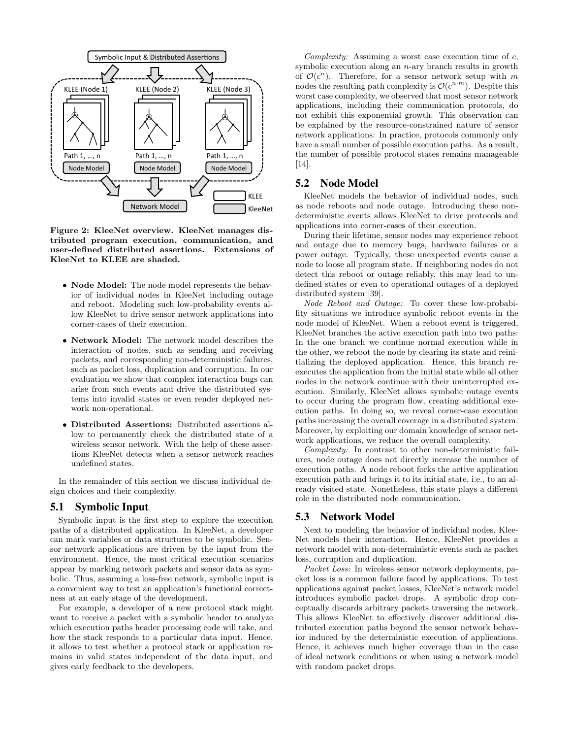

Figure 2: KleeNet overview. KleeNet manages distributed program execution, communication, and user-defined distributed assertions. Extensions of KleeNet to KLEE are shaded.

- Node Model: The node model represents the behavior of individual nodes in KleeNet including outage and reboot. Modeling such low-probability events allow KleeNet to drive sensor network applications into corner-cases of their execution.
- Network Model: The network model describes the interaction of nodes, such as sending and receiving packets, and corresponding non-deterministic failures, such as packet loss, duplication and corruption. In our evaluation we show that complex interaction bugs can arise from such events and drive the distributed systems into invalid states or even render deployed network non-operational.
- Distributed Assertions: Distributed assertions allow to permanently check the distributed state of a wireless sensor network. With the help of these assertions KleeNet detects when a sensor network reaches undefined states.

In the remainder of this section we discuss individual design choices and their complexity.

# 5.1 Symbolic Input

Symbolic input is the first step to explore the execution paths of a distributed application. In KleeNet, a developer can mark variables or data structures to be symbolic. Sensor network applications are driven by the input from the environment. Hence, the most critical execution scenarios appear by marking network packets and sensor data as symbolic. Thus, assuming a loss-free network, symbolic input is a convenient way to test an application's functional correctness at an early stage of the development.

For example, a developer of a new protocol stack might want to receive a packet with a symbolic header to analyze which execution paths header processing code will take, and how the stack responds to a particular data input. Hence, it allows to test whether a protocol stack or application remains in valid states independent of the data input, and gives early feedback to the developers.

Complexity: Assuming a worst case execution time of c, symbolic execution along an n-ary branch results in growth of  $\mathcal{O}(c^n)$ . Therefore, for a sensor network setup with m nodes the resulting path complexity is  $\mathcal{O}(c^{n-m})$ . Despite this worst case complexity, we observed that most sensor network applications, including their communication protocols, do not exhibit this exponential growth. This observation can be explained by the resource-constrained nature of sensor network applications: In practice, protocols commonly only have a small number of possible execution paths. As a result, the number of possible protocol states remains manageable [14].

## 5.2 Node Model

KleeNet models the behavior of individual nodes, such as node reboots and node outage. Introducing these nondeterministic events allows KleeNet to drive protocols and applications into corner-cases of their execution.

During their lifetime, sensor nodes may experience reboot and outage due to memory bugs, hardware failures or a power outage. Typically, these unexpected events cause a node to loose all program state. If neighboring nodes do not detect this reboot or outage reliably, this may lead to undefined states or even to operational outages of a deployed distributed system [39].

Node Reboot and Outage: To cover these low-probability situations we introduce symbolic reboot events in the node model of KleeNet. When a reboot event is triggered, KleeNet branches the active execution path into two paths: In the one branch we continue normal execution while in the other, we reboot the node by clearing its state and reinitializing the deployed application. Hence, this branch reexecutes the application from the initial state while all other nodes in the network continue with their uninterrupted execution. Similarly, KleeNet allows symbolic outage events to occur during the program flow, creating additional execution paths. In doing so, we reveal corner-case execution paths increasing the overall coverage in a distributed system. Moreover, by exploiting our domain knowledge of sensor network applications, we reduce the overall complexity.

Complexity: In contrast to other non-deterministic failures, node outage does not directly increase the number of execution paths. A node reboot forks the active application execution path and brings it to its initial state, i.e., to an already visited state. Nonetheless, this state plays a different role in the distributed node communication.

## 5.3 Network Model

Next to modeling the behavior of individual nodes, Klee-Net models their interaction. Hence, KleeNet provides a network model with non-deterministic events such as packet loss, corruption and duplication.

Packet Loss: In wireless sensor network deployments, packet loss is a common failure faced by applications. To test applications against packet losses, KleeNet's network model introduces symbolic packet drops. A symbolic drop conceptually discards arbitrary packets traversing the network. This allows KleeNet to effectively discover additional distributed execution paths beyond the sensor network behavior induced by the deterministic execution of applications. Hence, it achieves much higher coverage than in the case of ideal network conditions or when using a network model with random packet drops.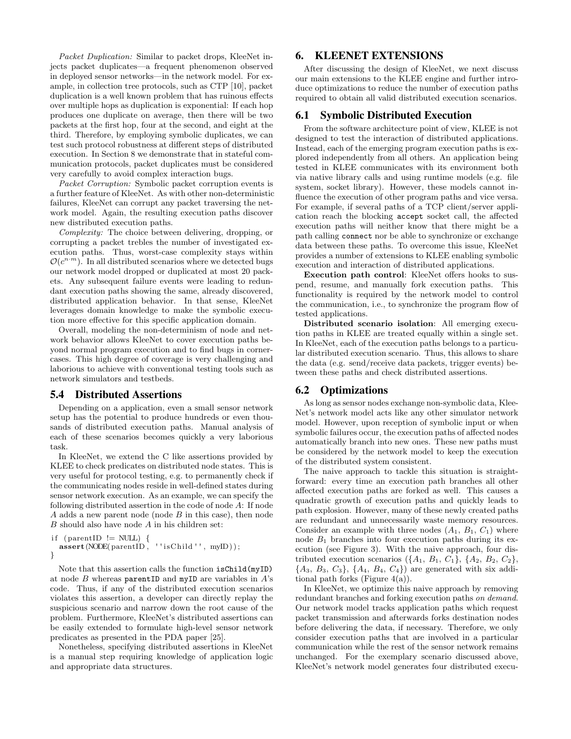Packet Duplication: Similar to packet drops, KleeNet injects packet duplicates—a frequent phenomenon observed in deployed sensor networks—in the network model. For example, in collection tree protocols, such as CTP [10], packet duplication is a well known problem that has ruinous effects over multiple hops as duplication is exponential: If each hop produces one duplicate on average, then there will be two packets at the first hop, four at the second, and eight at the third. Therefore, by employing symbolic duplicates, we can test such protocol robustness at different steps of distributed execution. In Section 8 we demonstrate that in stateful communication protocols, packet duplicates must be considered very carefully to avoid complex interaction bugs.

Packet Corruption: Symbolic packet corruption events is a further feature of KleeNet. As with other non-deterministic failures, KleeNet can corrupt any packet traversing the network model. Again, the resulting execution paths discover new distributed execution paths.

Complexity: The choice between delivering, dropping, or corrupting a packet trebles the number of investigated execution paths. Thus, worst-case complexity stays within  $\mathcal{O}(c^{n \cdot m})$ . In all distributed scenarios where we detected bugs our network model dropped or duplicated at most 20 packets. Any subsequent failure events were leading to redundant execution paths showing the same, already discovered, distributed application behavior. In that sense, KleeNet leverages domain knowledge to make the symbolic execution more effective for this specific application domain.

Overall, modeling the non-determinism of node and network behavior allows KleeNet to cover execution paths beyond normal program execution and to find bugs in cornercases. This high degree of coverage is very challenging and laborious to achieve with conventional testing tools such as network simulators and testbeds.

# 5.4 Distributed Assertions

Depending on a application, even a small sensor network setup has the potential to produce hundreds or even thousands of distributed execution paths. Manual analysis of each of these scenarios becomes quickly a very laborious task.

In KleeNet, we extend the C like assertions provided by KLEE to check predicates on distributed node states. This is very useful for protocol testing, e.g. to permanently check if the communicating nodes reside in well-defined states during sensor network execution. As an example, we can specify the following distributed assertion in the code of node A: If node A adds a new parent node (node B in this case), then node B should also have node A in his children set:

```
if (\text{parentID} != NULL) {
  assert (NODE(parentID, ''isChild'', myID));
}
```
Note that this assertion calls the function isChild(myID) at node  $B$  whereas parentID and myID are variables in  $A$ 's code. Thus, if any of the distributed execution scenarios violates this assertion, a developer can directly replay the suspicious scenario and narrow down the root cause of the problem. Furthermore, KleeNet's distributed assertions can be easily extended to formulate high-level sensor network predicates as presented in the PDA paper [25].

Nonetheless, specifying distributed assertions in KleeNet is a manual step requiring knowledge of application logic and appropriate data structures.

# 6. KLEENET EXTENSIONS

After discussing the design of KleeNet, we next discuss our main extensions to the KLEE engine and further introduce optimizations to reduce the number of execution paths required to obtain all valid distributed execution scenarios.

# 6.1 Symbolic Distributed Execution

From the software architecture point of view, KLEE is not designed to test the interaction of distributed applications. Instead, each of the emerging program execution paths is explored independently from all others. An application being tested in KLEE communicates with its environment both via native library calls and using runtime models (e.g. file system, socket library). However, these models cannot influence the execution of other program paths and vice versa. For example, if several paths of a TCP client/server application reach the blocking accept socket call, the affected execution paths will neither know that there might be a path calling connect nor be able to synchronize or exchange data between these paths. To overcome this issue, KleeNet provides a number of extensions to KLEE enabling symbolic execution and interaction of distributed applications.

Execution path control: KleeNet offers hooks to suspend, resume, and manually fork execution paths. This functionality is required by the network model to control the communication, i.e., to synchronize the program flow of tested applications.

Distributed scenario isolation: All emerging execution paths in KLEE are treated equally within a single set. In KleeNet, each of the execution paths belongs to a particular distributed execution scenario. Thus, this allows to share the data (e.g. send/receive data packets, trigger events) between these paths and check distributed assertions.

## 6.2 Optimizations

As long as sensor nodes exchange non-symbolic data, Klee-Net's network model acts like any other simulator network model. However, upon reception of symbolic input or when symbolic failures occur, the execution paths of affected nodes automatically branch into new ones. These new paths must be considered by the network model to keep the execution of the distributed system consistent.

The naive approach to tackle this situation is straightforward: every time an execution path branches all other affected execution paths are forked as well. This causes a quadratic growth of execution paths and quickly leads to path explosion. However, many of these newly created paths are redundant and unnecessarily waste memory resources. Consider an example with three nodes  $(A_1, B_1, C_1)$  where node  $B_1$  branches into four execution paths during its execution (see Figure 3). With the naive approach, four distributed execution scenarios  $({A_1, B_1, C_1}, {A_2, B_2, C_2},$  ${A_3, B_3, C_3}, {A_4, B_4, C_4}$  are generated with six additional path forks (Figure  $4(a)$ ).

In KleeNet, we optimize this naive approach by removing redundant branches and forking execution paths on demand. Our network model tracks application paths which request packet transmission and afterwards forks destination nodes before delivering the data, if necessary. Therefore, we only consider execution paths that are involved in a particular communication while the rest of the sensor network remains unchanged. For the exemplary scenario discussed above, KleeNet's network model generates four distributed execu-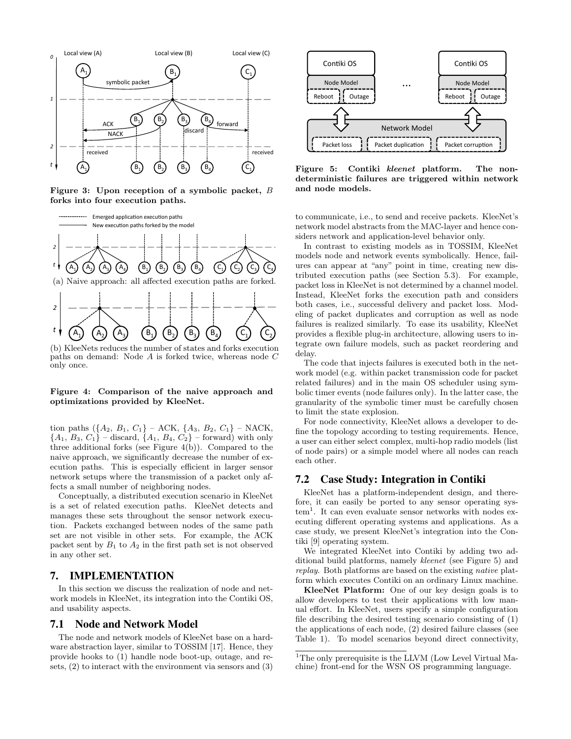

Figure 3: Upon reception of a symbolic packet, B forks into four execution paths.



paths on demand: Node A is forked twice, whereas node C only once.

#### Figure 4: Comparison of the naive approach and optimizations provided by KleeNet.

tion paths  $({A_2, B_1, C_1} - ACK, {A_3, B_2, C_1} - NACK,$  ${A_1, B_3, C_1}$  – discard,  ${A_1, B_4, C_2}$  – forward) with only three additional forks (see Figure 4(b)). Compared to the naive approach, we significantly decrease the number of execution paths. This is especially efficient in larger sensor network setups where the transmission of a packet only affects a small number of neighboring nodes.

Conceptually, a distributed execution scenario in KleeNet is a set of related execution paths. KleeNet detects and manages these sets throughout the sensor network execution. Packets exchanged between nodes of the same path set are not visible in other sets. For example, the ACK packet sent by  $B_1$  to  $A_2$  in the first path set is not observed in any other set.

# 7. IMPLEMENTATION

In this section we discuss the realization of node and network models in KleeNet, its integration into the Contiki OS, and usability aspects.

#### 7.1 Node and Network Model

The node and network models of KleeNet base on a hardware abstraction layer, similar to TOSSIM [17]. Hence, they provide hooks to (1) handle node boot-up, outage, and resets, (2) to interact with the environment via sensors and (3)



Figure 5: Contiki kleenet platform. The nondeterministic failures are triggered within network and node models.

to communicate, i.e., to send and receive packets. KleeNet's network model abstracts from the MAC-layer and hence considers network and application-level behavior only.

In contrast to existing models as in TOSSIM, KleeNet models node and network events symbolically. Hence, failures can appear at "any" point in time, creating new distributed execution paths (see Section 5.3). For example, packet loss in KleeNet is not determined by a channel model. Instead, KleeNet forks the execution path and considers both cases, i.e., successful delivery and packet loss. Modeling of packet duplicates and corruption as well as node failures is realized similarly. To ease its usability, KleeNet provides a flexible plug-in architecture, allowing users to integrate own failure models, such as packet reordering and delay.

The code that injects failures is executed both in the network model (e.g. within packet transmission code for packet related failures) and in the main OS scheduler using symbolic timer events (node failures only). In the latter case, the granularity of the symbolic timer must be carefully chosen to limit the state explosion.

For node connectivity, KleeNet allows a developer to define the topology according to testing requirements. Hence, a user can either select complex, multi-hop radio models (list of node pairs) or a simple model where all nodes can reach each other.

# 7.2 Case Study: Integration in Contiki

KleeNet has a platform-independent design, and therefore, it can easily be ported to any sensor operating system<sup>1</sup> . It can even evaluate sensor networks with nodes executing different operating systems and applications. As a case study, we present KleeNet's integration into the Contiki [9] operating system.

We integrated KleeNet into Contiki by adding two additional build platforms, namely kleenet (see Figure 5) and replay. Both platforms are based on the existing native platform which executes Contiki on an ordinary Linux machine.

KleeNet Platform: One of our key design goals is to allow developers to test their applications with low manual effort. In KleeNet, users specify a simple configuration file describing the desired testing scenario consisting of (1) the applications of each node, (2) desired failure classes (see Table 1). To model scenarios beyond direct connectivity,

 $^1\rm{The}$  only prerequisite is the LLVM (Low Level Virtual Machine) front-end for the WSN OS programming language.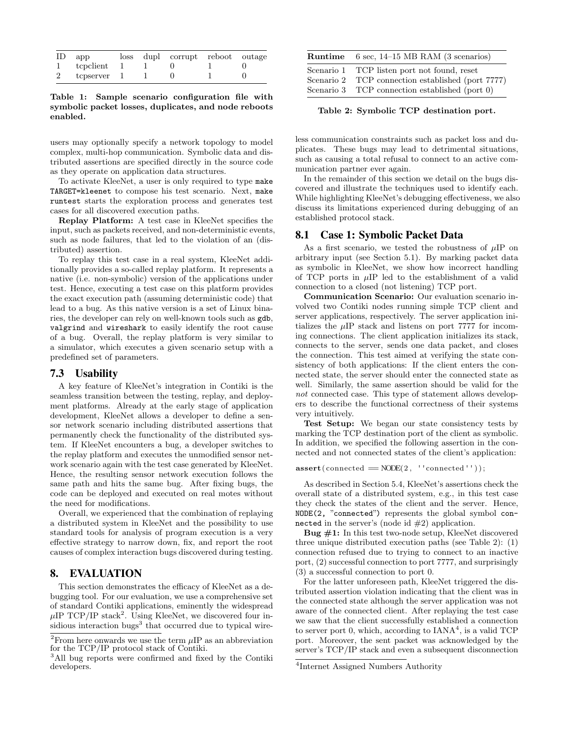| ID | app         |  | loss dupl corrupt reboot outage |  |
|----|-------------|--|---------------------------------|--|
|    | topclient 1 |  |                                 |  |
|    | tcpserver 1 |  |                                 |  |

Table 1: Sample scenario configuration file with symbolic packet losses, duplicates, and node reboots enabled.

users may optionally specify a network topology to model complex, multi-hop communication. Symbolic data and distributed assertions are specified directly in the source code as they operate on application data structures.

To activate KleeNet, a user is only required to type make TARGET=kleenet to compose his test scenario. Next, make runtest starts the exploration process and generates test cases for all discovered execution paths.

Replay Platform: A test case in KleeNet specifies the input, such as packets received, and non-deterministic events, such as node failures, that led to the violation of an (distributed) assertion.

To replay this test case in a real system, KleeNet additionally provides a so-called replay platform. It represents a native (i.e. non-symbolic) version of the applications under test. Hence, executing a test case on this platform provides the exact execution path (assuming deterministic code) that lead to a bug. As this native version is a set of Linux binaries, the developer can rely on well-known tools such as gdb, valgrind and wireshark to easily identify the root cause of a bug. Overall, the replay platform is very similar to a simulator, which executes a given scenario setup with a predefined set of parameters.

#### 7.3 Usability

A key feature of KleeNet's integration in Contiki is the seamless transition between the testing, replay, and deployment platforms. Already at the early stage of application development, KleeNet allows a developer to define a sensor network scenario including distributed assertions that permanently check the functionality of the distributed system. If KleeNet encounters a bug, a developer switches to the replay platform and executes the unmodified sensor network scenario again with the test case generated by KleeNet. Hence, the resulting sensor network execution follows the same path and hits the same bug. After fixing bugs, the code can be deployed and executed on real motes without the need for modifications.

Overall, we experienced that the combination of replaying a distributed system in KleeNet and the possibility to use standard tools for analysis of program execution is a very effective strategy to narrow down, fix, and report the root causes of complex interaction bugs discovered during testing.

## 8. EVALUATION

This section demonstrates the efficacy of KleeNet as a debugging tool. For our evaluation, we use a comprehensive set of standard Contiki applications, eminently the widespread  $\mu$ IP TCP/IP stack<sup>2</sup>. Using KleeNet, we discovered four insidious interaction bugs<sup>3</sup> that occurred due to typical wire-

|            | <b>Runtime</b> 6 sec, 14–15 MB RAM (3 scenarios) |
|------------|--------------------------------------------------|
|            | Scenario 1 TCP listen port not found, reset      |
| Scenario 2 | TCP connection established (port 7777)           |
| Scenario 3 | TCP connection established (port 0)              |

Table 2: Symbolic TCP destination port.

less communication constraints such as packet loss and duplicates. These bugs may lead to detrimental situations, such as causing a total refusal to connect to an active communication partner ever again.

In the remainder of this section we detail on the bugs discovered and illustrate the techniques used to identify each. While highlighting KleeNet's debugging effectiveness, we also discuss its limitations experienced during debugging of an established protocol stack.

# 8.1 Case 1: Symbolic Packet Data

As a first scenario, we tested the robustness of  $\mu$ IP on arbitrary input (see Section 5.1). By marking packet data as symbolic in KleeNet, we show how incorrect handling of TCP ports in  $\mu$ IP led to the establishment of a valid connection to a closed (not listening) TCP port.

Communication Scenario: Our evaluation scenario involved two Contiki nodes running simple TCP client and server applications, respectively. The server application initializes the  $\mu$ IP stack and listens on port 7777 for incoming connections. The client application initializes its stack, connects to the server, sends one data packet, and closes the connection. This test aimed at verifying the state consistency of both applications: If the client enters the connected state, the server should enter the connected state as well. Similarly, the same assertion should be valid for the not connected case. This type of statement allows developers to describe the functional correctness of their systems very intuitively.

Test Setup: We began our state consistency tests by marking the TCP destination port of the client as symbolic. In addition, we specified the following assertion in the connected and not connected states of the client's application:

```
\text{assert}(\text{connected} = \text{NODE}(2, ' 'connected ''));
```
As described in Section 5.4, KleeNet's assertions check the overall state of a distributed system, e.g., in this test case they check the states of the client and the server. Hence, NODE(2, "connected") represents the global symbol connected in the server's (node id  $#2$ ) application.

Bug #1: In this test two-node setup, KleeNet discovered three unique distributed execution paths (see Table 2): (1) connection refused due to trying to connect to an inactive port, (2) successful connection to port 7777, and surprisingly (3) a successful connection to port 0.

For the latter unforeseen path, KleeNet triggered the distributed assertion violation indicating that the client was in the connected state although the server application was not aware of the connected client. After replaying the test case we saw that the client successfully established a connection to server port 0, which, according to  $IANA<sup>4</sup>$ , is a valid TCP port. Moreover, the sent packet was acknowledged by the server's TCP/IP stack and even a subsequent disconnection

 $^2\mathrm{From}$  here onwards we use the term  $\mu\mathrm{IP}$  as an abbreviation for the TCP/IP protocol stack of Contiki.

<sup>&</sup>lt;sup>3</sup>All bug reports were confirmed and fixed by the Contiki developers.

<sup>4</sup> Internet Assigned Numbers Authority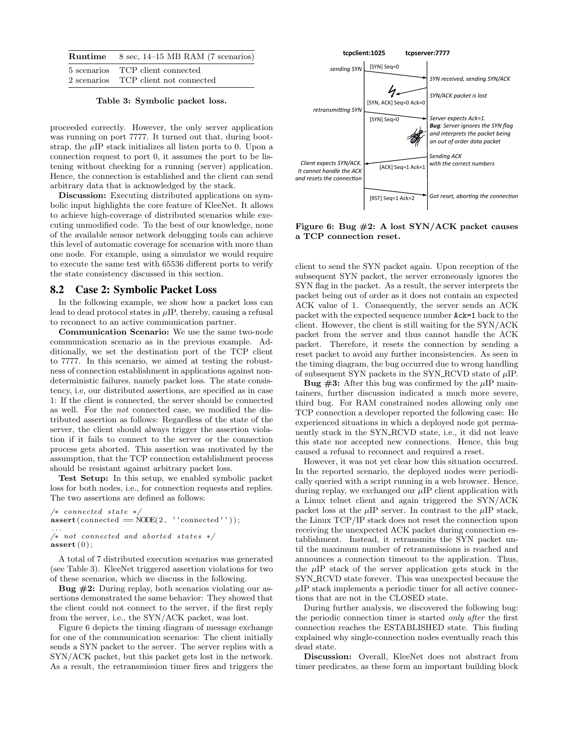| <b>Runtime</b> 8 sec, 14–15 MB RAM (7 scenarios)                         |  |  |  |  |
|--------------------------------------------------------------------------|--|--|--|--|
| 5 scenarios TCP client connected<br>2 scenarios TCP client not connected |  |  |  |  |

Table 3: Symbolic packet loss.

proceeded correctly. However, the only server application was running on port 7777. It turned out that, during bootstrap, the  $\mu$ IP stack initializes all listen ports to 0. Upon a connection request to port 0, it assumes the port to be listening without checking for a running (server) application. Hence, the connection is established and the client can send arbitrary data that is acknowledged by the stack.

Discussion: Executing distributed applications on symbolic input highlights the core feature of KleeNet. It allows to achieve high-coverage of distributed scenarios while executing unmodified code. To the best of our knowledge, none of the available sensor network debugging tools can achieve this level of automatic coverage for scenarios with more than one node. For example, using a simulator we would require to execute the same test with 65536 different ports to verify the state consistency discussed in this section.

#### 8.2 Case 2: Symbolic Packet Loss

In the following example, we show how a packet loss can lead to dead protocol states in  $\mu$ IP, thereby, causing a refusal to reconnect to an active communication partner.

Communication Scenario: We use the same two-node communication scenario as in the previous example. Additionally, we set the destination port of the TCP client to 7777. In this scenario, we aimed at testing the robustness of connection establishment in applications against nondeterministic failures, namely packet loss. The state consistency, i.e, our distributed assertions, are specified as in case 1: If the client is connected, the server should be connected as well. For the not connected case, we modified the distributed assertion as follows: Regardless of the state of the server, the client should always trigger the assertion violation if it fails to connect to the server or the connection process gets aborted. This assertion was motivated by the assumption, that the TCP connection establishment process should be resistant against arbitrary packet loss.

Test Setup: In this setup, we enabled symbolic packet loss for both nodes, i.e., for connection requests and replies. The two assertions are defined as follows:

 $/*$  connected state  $*/$  $\text{assert}(\text{connected} = \text{NODE}(2, \text{ ' 'connected ''}));$ . . .  $/*$  not connected and aborted states  $*/$  $\textbf{assert}(0);$ 

A total of 7 distributed execution scenarios was generated (see Table 3). KleeNet triggered assertion violations for two of these scenarios, which we discuss in the following.

**Bug**  $\#2$ **:** During replay, both scenarios violating our assertions demonstrated the same behavior: They showed that the client could not connect to the server, if the first reply from the server, i.e., the SYN/ACK packet, was lost.

Figure 6 depicts the timing diagram of message exchange for one of the communication scenarios: The client initially sends a SYN packet to the server. The server replies with a SYN/ACK packet, but this packet gets lost in the network. As a result, the retransmission timer fires and triggers the



Figure 6: Bug  $#2$ : A lost SYN/ACK packet causes a TCP connection reset.

client to send the SYN packet again. Upon reception of the subsequent SYN packet, the server erroneously ignores the SYN flag in the packet. As a result, the server interprets the packet being out of order as it does not contain an expected ACK value of 1. Consequently, the server sends an ACK packet with the expected sequence number Ack=1 back to the client. However, the client is still waiting for the SYN/ACK packet from the server and thus cannot handle the ACK packet. Therefore, it resets the connection by sending a reset packet to avoid any further inconsistencies. As seen in the timing diagram, the bug occurred due to wrong handling of subsequent SYN packets in the SYN\_RCVD state of  $\mu$ IP.

**Bug #3:** After this bug was confirmed by the  $\mu$ IP maintainers, further discussion indicated a much more severe, third bug. For RAM constrained nodes allowing only one TCP connection a developer reported the following case: He experienced situations in which a deployed node got permanently stuck in the SYN RCVD state, i.e., it did not leave this state nor accepted new connections. Hence, this bug caused a refusal to reconnect and required a reset.

However, it was not yet clear how this situation occurred. In the reported scenario, the deployed nodes were periodically queried with a script running in a web browser. Hence, during replay, we exchanged our  $\mu$ IP client application with a Linux telnet client and again triggered the SYN/ACK packet loss at the  $\mu$ IP server. In contrast to the  $\mu$ IP stack, the Linux TCP/IP stack does not reset the connection upon receiving the unexpected ACK packet during connection establishment. Instead, it retransmits the SYN packet until the maximum number of retransmissions is reached and announces a connection timeout to the application. Thus, the  $\mu$ IP stack of the server application gets stuck in the SYN RCVD state forever. This was unexpected because the  $\mu$ IP stack implements a periodic timer for all active connections that are not in the CLOSED state.

During further analysis, we discovered the following bug: the periodic connection timer is started only after the first connection reaches the ESTABLISHED state. This finding explained why single-connection nodes eventually reach this dead state.

Discussion: Overall, KleeNet does not abstract from timer predicates, as these form an important building block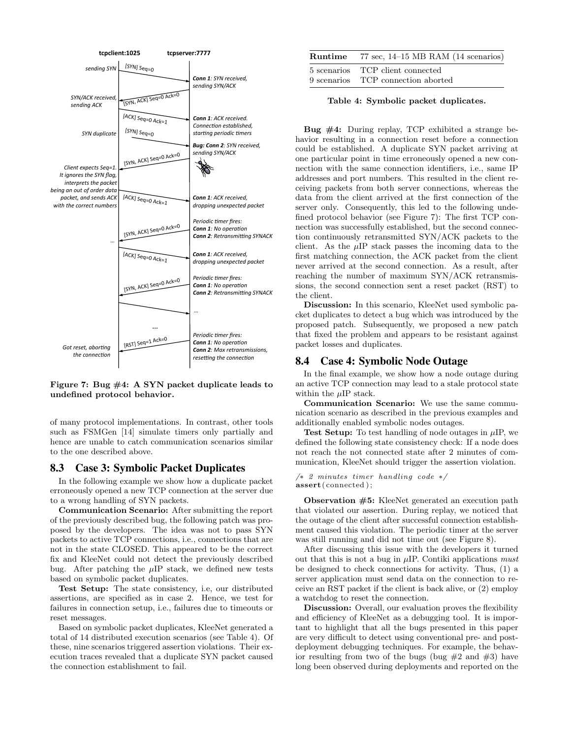

Figure 7: Bug #4: A SYN packet duplicate leads to undefined protocol behavior.

of many protocol implementations. In contrast, other tools such as FSMGen [14] simulate timers only partially and hence are unable to catch communication scenarios similar to the one described above.

## 8.3 Case 3: Symbolic Packet Duplicates

In the following example we show how a duplicate packet erroneously opened a new TCP connection at the server due to a wrong handling of SYN packets.

Communication Scenario: After submitting the report of the previously described bug, the following patch was proposed by the developers. The idea was not to pass SYN packets to active TCP connections, i.e., connections that are not in the state CLOSED. This appeared to be the correct fix and KleeNet could not detect the previously described bug. After patching the  $\mu$ IP stack, we defined new tests based on symbolic packet duplicates.

Test Setup: The state consistency, i.e, our distributed assertions, are specified as in case 2. Hence, we test for failures in connection setup, i.e., failures due to timeouts or reset messages.

Based on symbolic packet duplicates, KleeNet generated a total of 14 distributed execution scenarios (see Table 4). Of these, nine scenarios triggered assertion violations. Their execution traces revealed that a duplicate SYN packet caused the connection establishment to fail.

| <b>Runtime</b> 77 sec, 14–15 MB RAM (14 scenarios) |
|----------------------------------------------------|
| 5 scenarios TCP client connected                   |
| 9 scenarios TCP connection aborted                 |

Table 4: Symbolic packet duplicates.

**Bug**  $\#4$ **:** During replay, TCP exhibited a strange behavior resulting in a connection reset before a connection could be established. A duplicate SYN packet arriving at one particular point in time erroneously opened a new connection with the same connection identifiers, i.e., same IP addresses and port numbers. This resulted in the client receiving packets from both server connections, whereas the data from the client arrived at the first connection of the server only. Consequently, this led to the following undefined protocol behavior (see Figure 7): The first TCP connection was successfully established, but the second connection continuously retransmitted SYN/ACK packets to the client. As the  $\mu$ IP stack passes the incoming data to the first matching connection, the ACK packet from the client never arrived at the second connection. As a result, after reaching the number of maximum SYN/ACK retransmissions, the second connection sent a reset packet (RST) to the client.

Discussion: In this scenario, KleeNet used symbolic packet duplicates to detect a bug which was introduced by the proposed patch. Subsequently, we proposed a new patch that fixed the problem and appears to be resistant against packet losses and duplicates.

## 8.4 Case 4: Symbolic Node Outage

In the final example, we show how a node outage during an active TCP connection may lead to a stale protocol state within the  $\mu$ IP stack.

Communication Scenario: We use the same communication scenario as described in the previous examples and additionally enabled symbolic nodes outages.

**Test Setup:** To test handling of node outages in  $\mu$ IP, we defined the following state consistency check: If a node does not reach the not connected state after 2 minutes of communication, KleeNet should trigger the assertion violation.

/∗ 2 minutes timer handling code ∗/ assert ( connected ) ;

**Observation**  $#5$ **:** KleeNet generated an execution path that violated our assertion. During replay, we noticed that the outage of the client after successful connection establishment caused this violation. The periodic timer at the server was still running and did not time out (see Figure 8).

After discussing this issue with the developers it turned out that this is not a bug in  $\mu$ IP. Contiki applications must be designed to check connections for activity. Thus, (1) a server application must send data on the connection to receive an RST packet if the client is back alive, or (2) employ a watchdog to reset the connection.

Discussion: Overall, our evaluation proves the flexibility and efficiency of KleeNet as a debugging tool. It is important to highlight that all the bugs presented in this paper are very difficult to detect using conventional pre- and postdeployment debugging techniques. For example, the behavior resulting from two of the bugs (bug  $#2$  and  $#3$ ) have long been observed during deployments and reported on the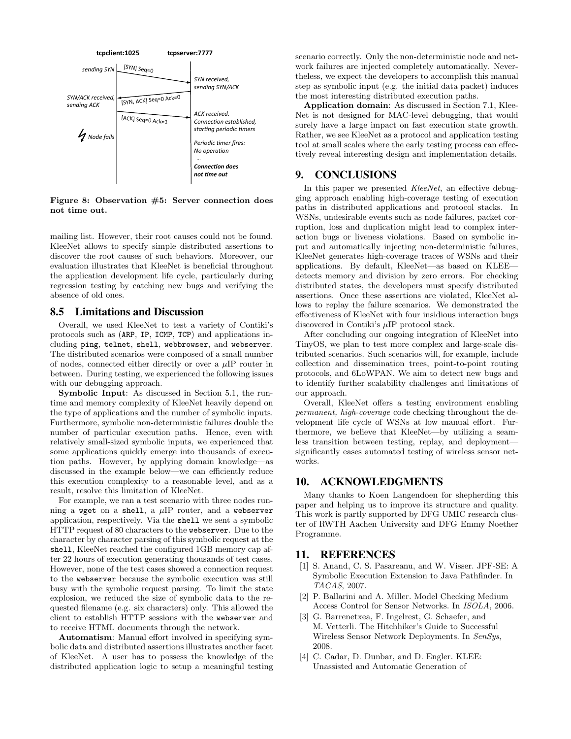

Figure 8: Observation #5: Server connection does not time out.

mailing list. However, their root causes could not be found. KleeNet allows to specify simple distributed assertions to discover the root causes of such behaviors. Moreover, our evaluation illustrates that KleeNet is beneficial throughout the application development life cycle, particularly during regression testing by catching new bugs and verifying the absence of old ones.

## 8.5 Limitations and Discussion

Overall, we used KleeNet to test a variety of Contiki's protocols such as (ARP, IP, ICMP, TCP) and applications including ping, telnet, shell, webbrowser, and webserver. The distributed scenarios were composed of a small number of nodes, connected either directly or over a  $\mu$ IP router in between. During testing, we experienced the following issues with our debugging approach.

Symbolic Input: As discussed in Section 5.1, the runtime and memory complexity of KleeNet heavily depend on the type of applications and the number of symbolic inputs. Furthermore, symbolic non-deterministic failures double the number of particular execution paths. Hence, even with relatively small-sized symbolic inputs, we experienced that some applications quickly emerge into thousands of execution paths. However, by applying domain knowledge—as discussed in the example below—we can efficiently reduce this execution complexity to a reasonable level, and as a result, resolve this limitation of KleeNet.

For example, we ran a test scenario with three nodes running a wget on a shell, a  $\mu$ IP router, and a webserver application, respectively. Via the shell we sent a symbolic HTTP request of 80 characters to the webserver. Due to the character by character parsing of this symbolic request at the shell, KleeNet reached the configured 1GB memory cap after 22 hours of execution generating thousands of test cases. However, none of the test cases showed a connection request to the webserver because the symbolic execution was still busy with the symbolic request parsing. To limit the state explosion, we reduced the size of symbolic data to the requested filename (e.g. six characters) only. This allowed the client to establish HTTP sessions with the webserver and to receive HTML documents through the network.

Automatism: Manual effort involved in specifying symbolic data and distributed assertions illustrates another facet of KleeNet. A user has to possess the knowledge of the distributed application logic to setup a meaningful testing scenario correctly. Only the non-deterministic node and network failures are injected completely automatically. Nevertheless, we expect the developers to accomplish this manual step as symbolic input (e.g. the initial data packet) induces the most interesting distributed execution paths.

Application domain: As discussed in Section 7.1, Klee-Net is not designed for MAC-level debugging, that would surely have a large impact on fast execution state growth. Rather, we see KleeNet as a protocol and application testing tool at small scales where the early testing process can effectively reveal interesting design and implementation details.

# 9. CONCLUSIONS

In this paper we presented *KleeNet*, an effective debugging approach enabling high-coverage testing of execution paths in distributed applications and protocol stacks. In WSNs, undesirable events such as node failures, packet corruption, loss and duplication might lead to complex interaction bugs or liveness violations. Based on symbolic input and automatically injecting non-deterministic failures, KleeNet generates high-coverage traces of WSNs and their applications. By default, KleeNet—as based on KLEE detects memory and division by zero errors. For checking distributed states, the developers must specify distributed assertions. Once these assertions are violated, KleeNet allows to replay the failure scenarios. We demonstrated the effectiveness of KleeNet with four insidious interaction bugs discovered in Contiki's  $\mu$ IP protocol stack.

After concluding our ongoing integration of KleeNet into TinyOS, we plan to test more complex and large-scale distributed scenarios. Such scenarios will, for example, include collection and dissemination trees, point-to-point routing protocols, and 6LoWPAN. We aim to detect new bugs and to identify further scalability challenges and limitations of our approach.

Overall, KleeNet offers a testing environment enabling permanent, high-coverage code checking throughout the development life cycle of WSNs at low manual effort. Furthermore, we believe that KleeNet—by utilizing a seamless transition between testing, replay, and deployment significantly eases automated testing of wireless sensor networks.

# 10. ACKNOWLEDGMENTS

Many thanks to Koen Langendoen for shepherding this paper and helping us to improve its structure and quality. This work is partly supported by DFG UMIC research cluster of RWTH Aachen University and DFG Emmy Noether Programme.

## 11. REFERENCES

- [1] S. Anand, C. S. Pasareanu, and W. Visser. JPF-SE: A Symbolic Execution Extension to Java Pathfinder. In TACAS, 2007.
- [2] P. Ballarini and A. Miller. Model Checking Medium Access Control for Sensor Networks. In ISOLA, 2006.
- [3] G. Barrenetxea, F. Ingelrest, G. Schaefer, and M. Vetterli. The Hitchhiker's Guide to Successful Wireless Sensor Network Deployments. In SenSys, 2008.
- [4] C. Cadar, D. Dunbar, and D. Engler. KLEE: Unassisted and Automatic Generation of